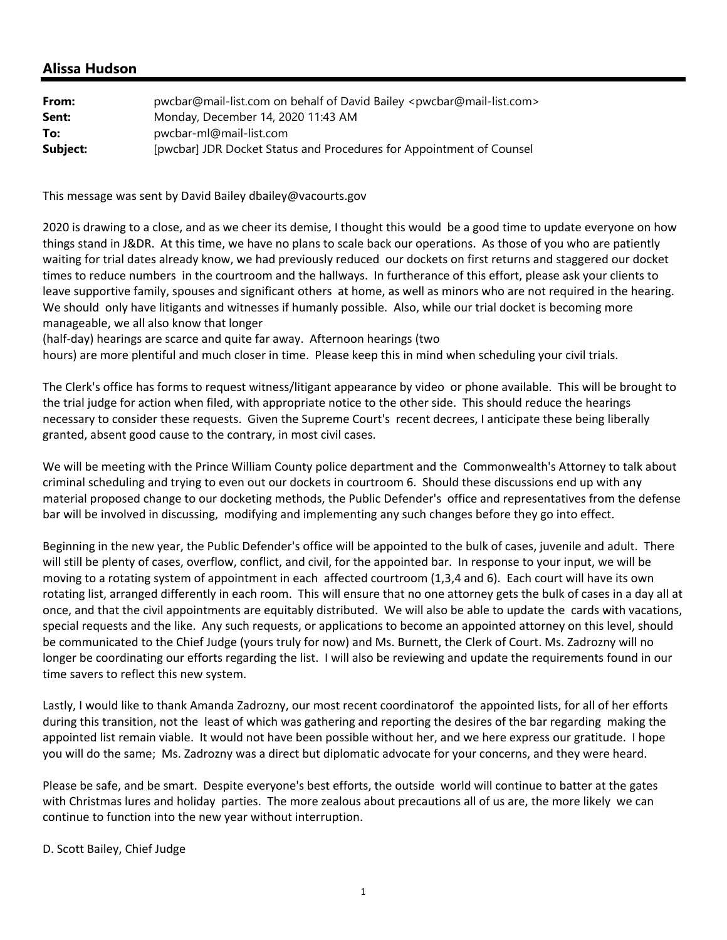## **Alissa Hudson**

| From:    | pwcbar@mail-list.com on behalf of David Bailey <pwcbar@mail-list.com></pwcbar@mail-list.com> |
|----------|----------------------------------------------------------------------------------------------|
| Sent:    | Monday, December 14, 2020 11:43 AM                                                           |
| To:      | pwcbar-ml@mail-list.com                                                                      |
| Subject: | [pwcbar] JDR Docket Status and Procedures for Appointment of Counsel                         |

This message was sent by David Bailey dbailey@vacourts.gov

2020 is drawing to a close, and as we cheer its demise, I thought this would be a good time to update everyone on how things stand in J&DR. At this time, we have no plans to scale back our operations. As those of you who are patiently waiting for trial dates already know, we had previously reduced our dockets on first returns and staggered our docket times to reduce numbers in the courtroom and the hallways. In furtherance of this effort, please ask your clients to leave supportive family, spouses and significant others at home, as well as minors who are not required in the hearing. We should only have litigants and witnesses if humanly possible. Also, while our trial docket is becoming more manageable, we all also know that longer

(half‐day) hearings are scarce and quite far away. Afternoon hearings (two

hours) are more plentiful and much closer in time. Please keep this in mind when scheduling your civil trials.

The Clerk's office has forms to request witness/litigant appearance by video or phone available. This will be brought to the trial judge for action when filed, with appropriate notice to the other side. This should reduce the hearings necessary to consider these requests. Given the Supreme Court's recent decrees, I anticipate these being liberally granted, absent good cause to the contrary, in most civil cases.

We will be meeting with the Prince William County police department and the Commonwealth's Attorney to talk about criminal scheduling and trying to even out our dockets in courtroom 6. Should these discussions end up with any material proposed change to our docketing methods, the Public Defender's office and representatives from the defense bar will be involved in discussing, modifying and implementing any such changes before they go into effect.

Beginning in the new year, the Public Defender's office will be appointed to the bulk of cases, juvenile and adult. There will still be plenty of cases, overflow, conflict, and civil, for the appointed bar. In response to your input, we will be moving to a rotating system of appointment in each affected courtroom (1,3,4 and 6). Each court will have its own rotating list, arranged differently in each room. This will ensure that no one attorney gets the bulk of cases in a day all at once, and that the civil appointments are equitably distributed. We will also be able to update the cards with vacations, special requests and the like. Any such requests, or applications to become an appointed attorney on this level, should be communicated to the Chief Judge (yours truly for now) and Ms. Burnett, the Clerk of Court. Ms. Zadrozny will no longer be coordinating our efforts regarding the list. I will also be reviewing and update the requirements found in our time savers to reflect this new system.

Lastly, I would like to thank Amanda Zadrozny, our most recent coordinatorof the appointed lists, for all of her efforts during this transition, not the least of which was gathering and reporting the desires of the bar regarding making the appointed list remain viable. It would not have been possible without her, and we here express our gratitude. I hope you will do the same; Ms. Zadrozny was a direct but diplomatic advocate for your concerns, and they were heard.

Please be safe, and be smart. Despite everyone's best efforts, the outside world will continue to batter at the gates with Christmas lures and holiday parties. The more zealous about precautions all of us are, the more likely we can continue to function into the new year without interruption.

D. Scott Bailey, Chief Judge